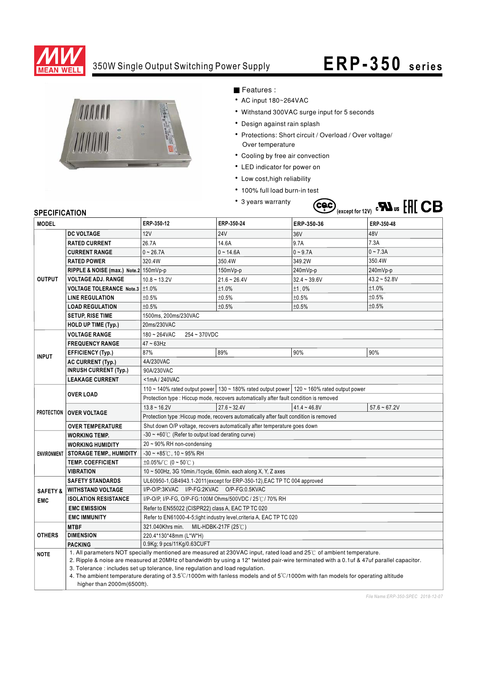

### 350W Single Output Switching Power Supply

## **ERP-350 series**



#### ■ Features :

- AC input 180~264VAC
- Withstand 300VAC surge input for 5 seconds
- Design against rain splash
- Protections: Short circuit / Overload / Over voltage/ Over temperature
- Cooling by free air convection
- LED indicator for power on
- Low cost, high reliability
- 100% full load burn-in test
- 3 years warranty



#### **SPECIFICATION**

| JE LUII IUMI IUI<br><b>MODEL</b> |                                                                                                                                          | ERP-350-12                                                                                                                     | ERP-350-24          | ERP-350-36              | ERP-350-48     |
|----------------------------------|------------------------------------------------------------------------------------------------------------------------------------------|--------------------------------------------------------------------------------------------------------------------------------|---------------------|-------------------------|----------------|
|                                  |                                                                                                                                          |                                                                                                                                |                     |                         | 48V            |
| <b>OUTPUT</b>                    | <b>DC VOLTAGE</b>                                                                                                                        | 12V<br>26.7A                                                                                                                   | <b>24V</b><br>14.6A | 36 <sub>V</sub><br>9.7A | 7.3A           |
|                                  | <b>RATED CURRENT</b>                                                                                                                     |                                                                                                                                |                     |                         | $0 - 7.3A$     |
|                                  | <b>CURRENT RANGE</b>                                                                                                                     | $0 - 26.7A$                                                                                                                    | $0 - 14.6A$         | $0 - 9.7A$              |                |
|                                  | <b>RATED POWER</b>                                                                                                                       | 320.4W                                                                                                                         | 350.4W              | 349.2W                  | 350.4W         |
|                                  | RIPPLE & NOISE (max.) Note.2 150mVp-p                                                                                                    |                                                                                                                                | 150mVp-p            | 240mVp-p                | 240mVp-p       |
|                                  | <b>VOLTAGE ADJ. RANGE</b>                                                                                                                | $10.8 - 13.2V$                                                                                                                 | $21.6 - 26.4V$      | $32.4 - 39.6V$          | $43.2 - 52.8V$ |
|                                  | VOLTAGE TOLERANCE Note.3   ±1.0%                                                                                                         |                                                                                                                                | ±1.0%               | ±1.0%                   | ±1.0%          |
|                                  | <b>LINE REGULATION</b>                                                                                                                   | ±0.5%                                                                                                                          | ±0.5%               | ±0.5%                   | ±0.5%          |
|                                  | <b>LOAD REGULATION</b>                                                                                                                   | ±0.5%                                                                                                                          | ±0.5%               | ±0.5%                   | ±0.5%          |
|                                  | <b>SETUP, RISE TIME</b>                                                                                                                  | 1500ms. 200ms/230VAC                                                                                                           |                     |                         |                |
|                                  | <b>HOLD UP TIME (Typ.)</b>                                                                                                               | 20ms/230VAC                                                                                                                    |                     |                         |                |
| <b>INPUT</b>                     | <b>VOLTAGE RANGE</b>                                                                                                                     | $180 - 264$ VAC<br>254~370VDC                                                                                                  |                     |                         |                |
|                                  | <b>FREQUENCY RANGE</b>                                                                                                                   | $47 - 63$ Hz                                                                                                                   |                     |                         |                |
|                                  | <b>EFFICIENCY (Typ.)</b>                                                                                                                 | 87%                                                                                                                            | 89%                 | 90%                     | 90%            |
|                                  | <b>AC CURRENT (Typ.)</b>                                                                                                                 | 4A/230VAC                                                                                                                      |                     |                         |                |
|                                  | <b>INRUSH CURRENT (Typ.)</b>                                                                                                             | 90A/230VAC                                                                                                                     |                     |                         |                |
|                                  | <b>LEAKAGE CURRENT</b>                                                                                                                   | <1mA/240VAC                                                                                                                    |                     |                         |                |
|                                  |                                                                                                                                          | 110 ~ 140% rated output power 130 ~ 180% rated output power 120 ~ 160% rated output power                                      |                     |                         |                |
|                                  | <b>OVER LOAD</b>                                                                                                                         | Protection type : Hiccup mode, recovers automatically after fault condition is removed                                         |                     |                         |                |
|                                  | PROTECTION   OVER VOLTAGE                                                                                                                | $13.8 - 16.2V$                                                                                                                 | $27.6 - 32.4V$      | $41.4 - 46.8V$          | $57.6 - 67.2V$ |
|                                  |                                                                                                                                          | Protection type : Hiccup mode, recovers automatically after fault condition is removed                                         |                     |                         |                |
|                                  | <b>OVER TEMPERATURE</b>                                                                                                                  | Shut down O/P voltage, recovers automatically after temperature goes down                                                      |                     |                         |                |
| <b>ENVIRONMENT</b>               | <b>WORKING TEMP.</b>                                                                                                                     | $-30 \sim +60^{\circ}$ (Refer to output load derating curve)                                                                   |                     |                         |                |
|                                  | <b>WORKING HUMIDITY</b>                                                                                                                  | 20 ~ 90% RH non-condensing                                                                                                     |                     |                         |                |
|                                  | <b>STORAGE TEMP., HUMIDITY</b>                                                                                                           | $-30 \sim +85^{\circ}$ C, 10 ~ 95% RH                                                                                          |                     |                         |                |
|                                  | <b>TEMP. COEFFICIENT</b>                                                                                                                 | $\pm 0.05\%$ (0 ~ 50°C)                                                                                                        |                     |                         |                |
|                                  | <b>VIBRATION</b>                                                                                                                         | 10 ~ 500Hz, 3G 10min./1cycle, 60min. each along X, Y, Z axes                                                                   |                     |                         |                |
|                                  | <b>SAFETY STANDARDS</b>                                                                                                                  | UL60950-1, GB4943.1-2011 (except for ERP-350-12), EAC TP TC 004 approved                                                       |                     |                         |                |
| <b>SAFETY &amp;</b>              | <b>WITHSTAND VOLTAGE</b>                                                                                                                 | I/P-O/P:3KVAC I/P-FG:2KVAC O/P-FG:0.5KVAC                                                                                      |                     |                         |                |
| <b>EMC</b>                       | <b>ISOLATION RESISTANCE</b>                                                                                                              | I/P-O/P, I/P-FG, O/P-FG:100M Ohms/500VDC / 25℃/ 70% RH                                                                         |                     |                         |                |
|                                  | <b>EMC EMISSION</b>                                                                                                                      | Refer to EN55022 (CISPR22) class A, EAC TP TC 020                                                                              |                     |                         |                |
|                                  | <b>EMC IMMUNITY</b>                                                                                                                      | Refer to EN61000-4-5; light industry level, criteria A, EAC TP TC 020                                                          |                     |                         |                |
| <b>OTHERS</b>                    | <b>MTBF</b>                                                                                                                              | 321.040Khrs min.<br>MIL-HDBK-217F $(25^{\circ}$ C)                                                                             |                     |                         |                |
|                                  | <b>DIMENSION</b>                                                                                                                         | 220.4*130*48mm (L*W*H)                                                                                                         |                     |                         |                |
|                                  | <b>PACKING</b>                                                                                                                           | 0.9Kg; 9 pcs/11Kg/0.63CUFT                                                                                                     |                     |                         |                |
| <b>NOTE</b>                      |                                                                                                                                          | 1. All parameters NOT specially mentioned are measured at 230VAC input, rated load and 25°C of ambient temperature.            |                     |                         |                |
|                                  | 2. Ripple & noise are measured at 20MHz of bandwidth by using a 12" twisted pair-wire terminated with a 0.1uf & 47uf parallel capacitor. |                                                                                                                                |                     |                         |                |
|                                  |                                                                                                                                          | 3. Tolerance : includes set up tolerance, line regulation and load regulation.                                                 |                     |                         |                |
|                                  | higher than 2000m(6500ft).                                                                                                               | 4. The ambient temperature derating of 3.5°C/1000m with fanless models and of 5°C/1000m with fan models for operating altitude |                     |                         |                |
|                                  |                                                                                                                                          |                                                                                                                                |                     |                         |                |

*File Name:ERP-350-SPEC 2018-12-07*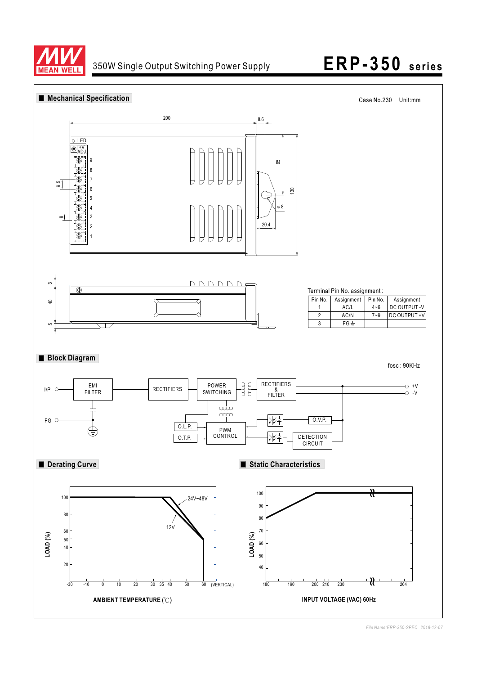

### 350W Single Output Switching Power Supply **ERP-350 series**



*File Name:ERP-350-SPEC 2018-12-07*